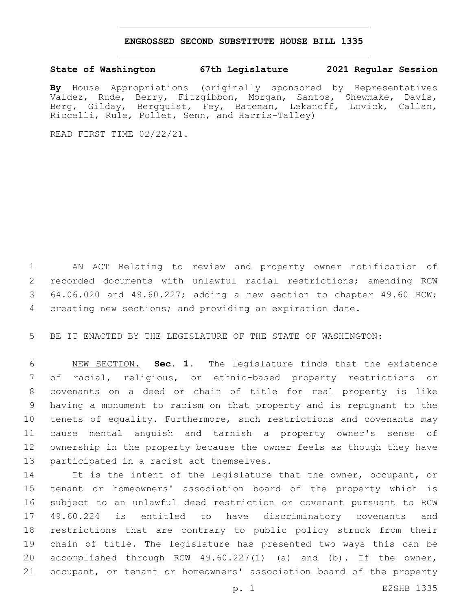## **ENGROSSED SECOND SUBSTITUTE HOUSE BILL 1335**

## **State of Washington 67th Legislature 2021 Regular Session**

**By** House Appropriations (originally sponsored by Representatives Valdez, Rude, Berry, Fitzgibbon, Morgan, Santos, Shewmake, Davis, Berg, Gilday, Bergquist, Fey, Bateman, Lekanoff, Lovick, Callan, Riccelli, Rule, Pollet, Senn, and Harris-Talley)

READ FIRST TIME 02/22/21.

 AN ACT Relating to review and property owner notification of recorded documents with unlawful racial restrictions; amending RCW 64.06.020 and 49.60.227; adding a new section to chapter 49.60 RCW; creating new sections; and providing an expiration date.

BE IT ENACTED BY THE LEGISLATURE OF THE STATE OF WASHINGTON:

 NEW SECTION. **Sec. 1.** The legislature finds that the existence of racial, religious, or ethnic-based property restrictions or covenants on a deed or chain of title for real property is like having a monument to racism on that property and is repugnant to the tenets of equality. Furthermore, such restrictions and covenants may cause mental anguish and tarnish a property owner's sense of ownership in the property because the owner feels as though they have participated in a racist act themselves.

14 It is the intent of the legislature that the owner, occupant, or tenant or homeowners' association board of the property which is subject to an unlawful deed restriction or covenant pursuant to RCW 49.60.224 is entitled to have discriminatory covenants and restrictions that are contrary to public policy struck from their chain of title. The legislature has presented two ways this can be 20 accomplished through RCW 49.60.227(1) (a) and (b). If the owner, occupant, or tenant or homeowners' association board of the property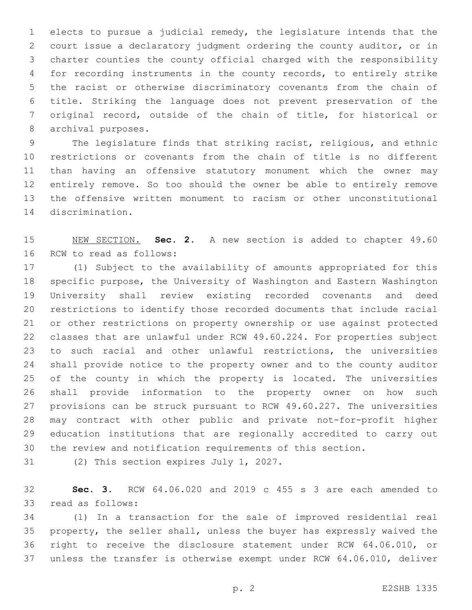elects to pursue a judicial remedy, the legislature intends that the court issue a declaratory judgment ordering the county auditor, or in charter counties the county official charged with the responsibility for recording instruments in the county records, to entirely strike the racist or otherwise discriminatory covenants from the chain of title. Striking the language does not prevent preservation of the original record, outside of the chain of title, for historical or 8 archival purposes.

 The legislature finds that striking racist, religious, and ethnic restrictions or covenants from the chain of title is no different than having an offensive statutory monument which the owner may entirely remove. So too should the owner be able to entirely remove the offensive written monument to racism or other unconstitutional 14 discrimination.

 NEW SECTION. **Sec. 2.** A new section is added to chapter 49.60 16 RCW to read as follows:

 (1) Subject to the availability of amounts appropriated for this specific purpose, the University of Washington and Eastern Washington University shall review existing recorded covenants and deed restrictions to identify those recorded documents that include racial or other restrictions on property ownership or use against protected classes that are unlawful under RCW 49.60.224. For properties subject to such racial and other unlawful restrictions, the universities shall provide notice to the property owner and to the county auditor of the county in which the property is located. The universities shall provide information to the property owner on how such provisions can be struck pursuant to RCW 49.60.227. The universities may contract with other public and private not-for-profit higher education institutions that are regionally accredited to carry out the review and notification requirements of this section.

31 (2) This section expires July 1, 2027.

 **Sec. 3.** RCW 64.06.020 and 2019 c 455 s 3 are each amended to 33 read as follows:

 (1) In a transaction for the sale of improved residential real property, the seller shall, unless the buyer has expressly waived the right to receive the disclosure statement under RCW 64.06.010, or unless the transfer is otherwise exempt under RCW 64.06.010, deliver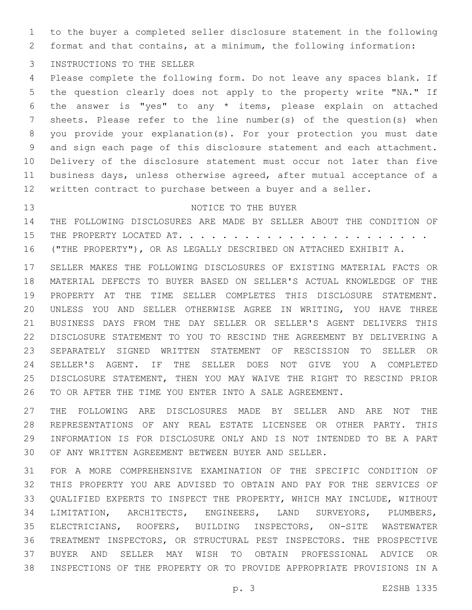to the buyer a completed seller disclosure statement in the following format and that contains, at a minimum, the following information:

3 INSTRUCTIONS TO THE SELLER

 Please complete the following form. Do not leave any spaces blank. If the question clearly does not apply to the property write "NA." If the answer is "yes" to any \* items, please explain on attached sheets. Please refer to the line number(s) of the question(s) when you provide your explanation(s). For your protection you must date and sign each page of this disclosure statement and each attachment. Delivery of the disclosure statement must occur not later than five business days, unless otherwise agreed, after mutual acceptance of a written contract to purchase between a buyer and a seller.

## 13 NOTICE TO THE BUYER

 THE FOLLOWING DISCLOSURES ARE MADE BY SELLER ABOUT THE CONDITION OF THE PROPERTY LOCATED AT. . . . . . . . . . . . . . . . . . . . . . . ("THE PROPERTY"), OR AS LEGALLY DESCRIBED ON ATTACHED EXHIBIT A.

 SELLER MAKES THE FOLLOWING DISCLOSURES OF EXISTING MATERIAL FACTS OR MATERIAL DEFECTS TO BUYER BASED ON SELLER'S ACTUAL KNOWLEDGE OF THE PROPERTY AT THE TIME SELLER COMPLETES THIS DISCLOSURE STATEMENT. UNLESS YOU AND SELLER OTHERWISE AGREE IN WRITING, YOU HAVE THREE BUSINESS DAYS FROM THE DAY SELLER OR SELLER'S AGENT DELIVERS THIS DISCLOSURE STATEMENT TO YOU TO RESCIND THE AGREEMENT BY DELIVERING A SEPARATELY SIGNED WRITTEN STATEMENT OF RESCISSION TO SELLER OR SELLER'S AGENT. IF THE SELLER DOES NOT GIVE YOU A COMPLETED DISCLOSURE STATEMENT, THEN YOU MAY WAIVE THE RIGHT TO RESCIND PRIOR TO OR AFTER THE TIME YOU ENTER INTO A SALE AGREEMENT.

 THE FOLLOWING ARE DISCLOSURES MADE BY SELLER AND ARE NOT THE REPRESENTATIONS OF ANY REAL ESTATE LICENSEE OR OTHER PARTY. THIS INFORMATION IS FOR DISCLOSURE ONLY AND IS NOT INTENDED TO BE A PART OF ANY WRITTEN AGREEMENT BETWEEN BUYER AND SELLER.

 FOR A MORE COMPREHENSIVE EXAMINATION OF THE SPECIFIC CONDITION OF THIS PROPERTY YOU ARE ADVISED TO OBTAIN AND PAY FOR THE SERVICES OF QUALIFIED EXPERTS TO INSPECT THE PROPERTY, WHICH MAY INCLUDE, WITHOUT LIMITATION, ARCHITECTS, ENGINEERS, LAND SURVEYORS, PLUMBERS, ELECTRICIANS, ROOFERS, BUILDING INSPECTORS, ON-SITE WASTEWATER TREATMENT INSPECTORS, OR STRUCTURAL PEST INSPECTORS. THE PROSPECTIVE BUYER AND SELLER MAY WISH TO OBTAIN PROFESSIONAL ADVICE OR INSPECTIONS OF THE PROPERTY OR TO PROVIDE APPROPRIATE PROVISIONS IN A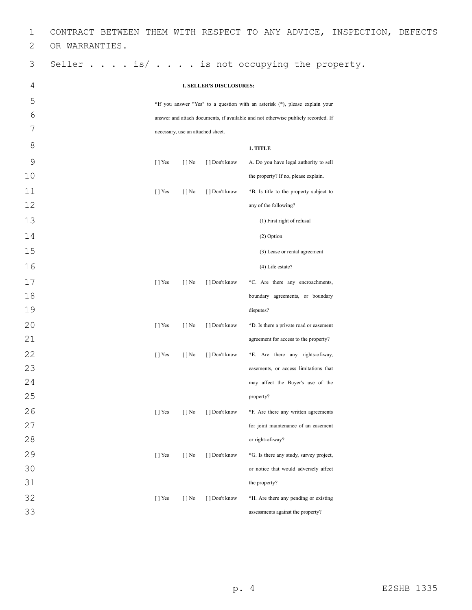| 1            |                |                           |                          |                                   | CONTRACT BETWEEN THEM WITH RESPECT TO ANY ADVICE, INSPECTION, DEFECTS             |
|--------------|----------------|---------------------------|--------------------------|-----------------------------------|-----------------------------------------------------------------------------------|
| $\mathbf{2}$ | OR WARRANTIES. |                           |                          |                                   |                                                                                   |
| 3            |                |                           |                          |                                   | Seller $\ldots$ is/ $\ldots$ is not occupying the property.                       |
| 4            |                |                           |                          | <b>I. SELLER'S DISCLOSURES:</b>   |                                                                                   |
| 5            |                |                           |                          |                                   | *If you answer "Yes" to a question with an asterisk (*), please explain your      |
| 6            |                |                           |                          |                                   | answer and attach documents, if available and not otherwise publicly recorded. If |
| 7            |                |                           |                          | necessary, use an attached sheet. |                                                                                   |
| 8            |                |                           |                          |                                   | 1. TITLE                                                                          |
| 9            |                | [ ] Yes                   | $\lceil \cdot \rceil$ No | [ ] Don't know                    | A. Do you have legal authority to sell                                            |
| 10           |                |                           |                          |                                   | the property? If no, please explain.                                              |
| 11           |                | $\lceil$   Yes            | $\lceil \cdot \rceil$ No | [] Don't know                     | *B. Is title to the property subject to                                           |
| 12           |                |                           |                          |                                   | any of the following?                                                             |
| 13           |                |                           |                          |                                   | (1) First right of refusal                                                        |
| 14           |                |                           |                          |                                   | (2) Option                                                                        |
| 15           |                |                           |                          |                                   | (3) Lease or rental agreement                                                     |
| 16           |                |                           |                          |                                   | (4) Life estate?                                                                  |
| 17           |                | [ ] Yes                   | $\lceil \cdot \rceil$ No | [ ] Don't know                    | *C. Are there any encroachments,                                                  |
| 18           |                |                           |                          |                                   | boundary agreements, or boundary                                                  |
| 19           |                |                           |                          |                                   | disputes?                                                                         |
| 20           |                | $\lceil$   Yes            | $\lceil \cdot \rceil$ No | [] Don't know                     | *D. Is there a private road or easement                                           |
| 21           |                |                           |                          |                                   | agreement for access to the property?                                             |
| 22           |                | [ ] Yes                   | $\lceil \cdot \rceil$ No | [] Don't know                     | *E. Are there any rights-of-way,                                                  |
| 23           |                |                           |                          |                                   | easements, or access limitations that                                             |
| 24           |                |                           |                          |                                   | may affect the Buyer's use of the                                                 |
| 25           |                |                           |                          |                                   | property?                                                                         |
| 26           |                | [ ] Yes                   | $\lceil \cdot \rceil$ No | [ ] Don't know                    | *F. Are there any written agreements                                              |
| 27           |                |                           |                          |                                   | for joint maintenance of an easement                                              |
| 28           |                |                           |                          |                                   | or right-of-way?                                                                  |
| 29           |                | $\lceil$   Yes            | $\lceil \cdot \rceil$ No | [] Don't know                     | *G. Is there any study, survey project,                                           |
| 30           |                |                           |                          |                                   | or notice that would adversely affect                                             |
| 31           |                |                           |                          |                                   | the property?                                                                     |
| 32           |                | $\lceil \cdot \rceil$ Yes | $\lceil \cdot \rceil$ No | [] Don't know                     | *H. Are there any pending or existing                                             |
| 33           |                |                           |                          |                                   | assessments against the property?                                                 |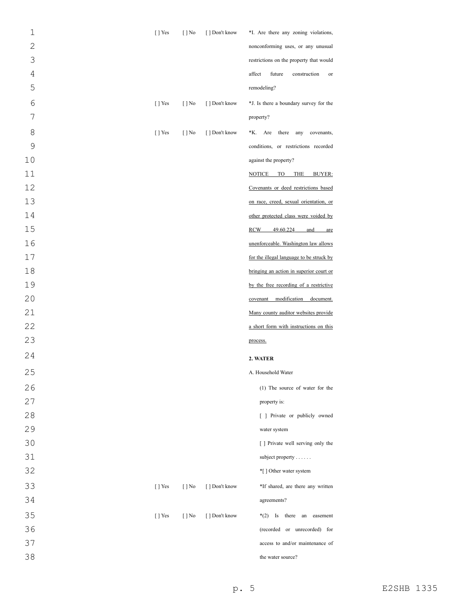| $\mathbf 1$    | $[$ ] Yes      | $[ ]$ No                 | [ ] Don't know | *I. Are there any zoning violations,     |
|----------------|----------------|--------------------------|----------------|------------------------------------------|
| $\overline{2}$ |                |                          |                | nonconforming uses, or any unusual       |
| 3              |                |                          |                | restrictions on the property that would  |
| $\sqrt{4}$     |                |                          |                | affect<br>future<br>construction<br>or   |
| 5              |                |                          |                | remodeling?                              |
| $\sqrt{6}$     | [] Yes         | $[ ]$ No                 | [ ] Don't know | *J. Is there a boundary survey for the   |
| 7              |                |                          |                | property?                                |
| 8              | [] Yes         | $[ ]$ No                 | [ ] Don't know | *K.<br>Are<br>there any<br>covenants,    |
| 9              |                |                          |                | conditions, or restrictions recorded     |
| 10             |                |                          |                | against the property?                    |
| 11             |                |                          |                | NOTICE TO THE<br><b>BUYER:</b>           |
| 12             |                |                          |                | Covenants or deed restrictions based     |
| 13             |                |                          |                | on race, creed, sexual orientation, or   |
| 14             |                |                          |                | other protected class were voided by     |
| 15             |                |                          |                | RCW<br>49.60.224<br>and<br>are           |
| 16             |                |                          |                | unenforceable. Washington law allows     |
| 17             |                |                          |                | for the illegal language to be struck by |
| 18             |                |                          |                | bringing an action in superior court or  |
| 19             |                |                          |                | by the free recording of a restrictive   |
| 20             |                |                          |                | covenant modification document.          |
| 21             |                |                          |                | Many county auditor websites provide     |
| 22             |                |                          |                | a short form with instructions on this   |
| 23             |                |                          |                | process.                                 |
| 24             |                |                          |                | 2. WATER                                 |
| 25             |                |                          |                | A. Household Water                       |
| 26             |                |                          |                | (1) The source of water for the          |
| 27             |                |                          |                | property is:                             |
| 28             |                |                          |                | [ ] Private or publicly owned            |
| 29             |                |                          |                | water system                             |
| 30             |                |                          |                | [ ] Private well serving only the        |
| 31             |                |                          |                | subject property $\dots$ .               |
| 32             |                |                          |                | *[] Other water system                   |
| 33             | $\lceil$   Yes | $\lceil \cdot \rceil$ No | [ ] Don't know | *If shared, are there any written        |
| 34             |                |                          |                | agreements?                              |
| 35             | [] Yes         | $\lceil \cdot \rceil$ No | [ ] Don't know | $*(2)$ Is there an easement              |
| 36             |                |                          |                | (recorded or unrecorded) for             |
| 37             |                |                          |                | access to and/or maintenance of          |
| 38             |                |                          |                | the water source?                        |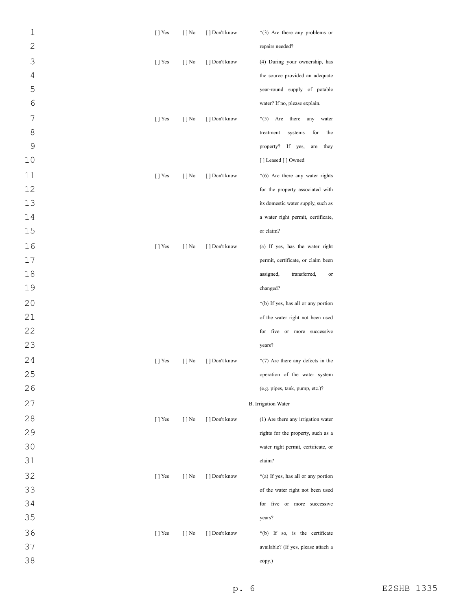| $1\,$          | $[$ ] Yes      | $[ ]$ No | [ ] Don't know | $*(3)$ Are there any problems or    |
|----------------|----------------|----------|----------------|-------------------------------------|
| $\overline{2}$ |                |          |                | repairs needed?                     |
| 3              | $[$ ] Yes      | $[ ]$ No | [ ] Don't know | (4) During your ownership, has      |
| $\sqrt{4}$     |                |          |                | the source provided an adequate     |
| 5              |                |          |                | year-round supply of potable        |
| $\sqrt{6}$     |                |          |                | water? If no, please explain.       |
| 7              | $\lceil$   Yes | $[ ]$ No | [] Don't know  | $*(5)$ Are<br>there any<br>water    |
| 8              |                |          |                | for<br>treatment<br>systems<br>the  |
| 9              |                |          |                | property? If yes,<br>they<br>are    |
| 10             |                |          |                | [] Leased [] Owned                  |
| 11             | $[$ ] Yes      | $[ ]$ No | [ ] Don't know | *(6) Are there any water rights     |
| 12             |                |          |                | for the property associated with    |
| 13             |                |          |                | its domestic water supply, such as  |
| 14             |                |          |                | a water right permit, certificate,  |
| 15             |                |          |                | or claim?                           |
| 16             | $[$ ] Yes      | $[ ]$ No | [ ] Don't know | (a) If yes, has the water right     |
| 17             |                |          |                | permit, certificate, or claim been  |
| $18$           |                |          |                | transferred,<br>assigned,<br>or     |
| 19             |                |          |                | changed?                            |
| 20             |                |          |                | *(b) If yes, has all or any portion |
| 21             |                |          |                | of the water right not been used    |
| 22             |                |          |                | for five or more successive         |
| 23             |                |          |                | years?                              |
| 24             | $[$ T Yes      | $[ ]$ No | [ ] Don't know | $*(7)$ Are there any defects in the |
| 25             |                |          |                | operation of the water system       |
| 26             |                |          |                | (e.g. pipes, tank, pump, etc.)?     |
| 27             |                |          |                | <b>B.</b> Irrigation Water          |
| 28             | $[$ ] Yes      | $[ ]$ No | [ ] Don't know | (1) Are there any irrigation water  |
| 29             |                |          |                | rights for the property, such as a  |
| 30             |                |          |                | water right permit, certificate, or |
| 31             |                |          |                | claim?                              |
| 32             | $[$ T Yes      | $[ ]$ No | [ ] Don't know | *(a) If yes, has all or any portion |
| 33             |                |          |                | of the water right not been used    |
| 34             |                |          |                | for five or more successive         |
| 35             |                |          |                | years?                              |
| 36             | $[$ ] Yes      | $[ ]$ No | [ ] Don't know | *(b) If so, is the certificate      |
| 37             |                |          |                | available? (If yes, please attach a |
| 38             |                |          |                | copy.)                              |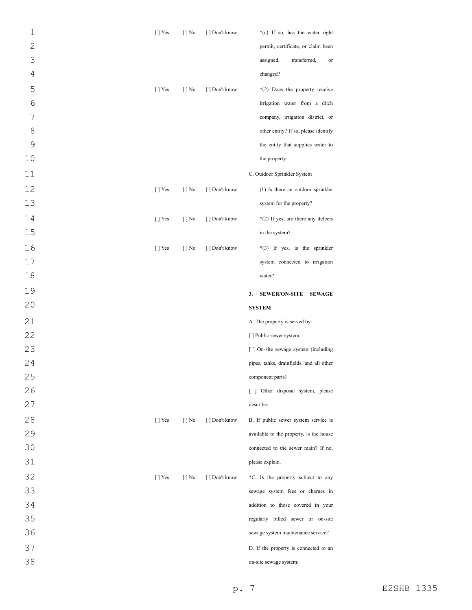| $\mathbf 1$    | $[ ]$ Yes      | $[ ]$ No                 | [ ] Don't know | *(c) If so, has the water right                                                 |
|----------------|----------------|--------------------------|----------------|---------------------------------------------------------------------------------|
| $\overline{2}$ |                |                          |                | permit, certificate, or claim been                                              |
| 3              |                |                          |                | assigned,<br>transferred,<br>or                                                 |
| $\overline{4}$ |                |                          |                | changed?                                                                        |
| 5              | $[ ]$ Yes      | $[ ]$ No                 | [ ] Don't know | *(2) Does the property receive                                                  |
| 6              |                |                          |                | irrigation water from a ditch                                                   |
| 7              |                |                          |                | company, irrigation district, or                                                |
| 8              |                |                          |                | other entity? If so, please identify                                            |
| $\mathsf 9$    |                |                          |                | the entity that supplies water to                                               |
| 10             |                |                          |                | the property:                                                                   |
| 11             |                |                          |                | C. Outdoor Sprinkler System                                                     |
| 12             | $[ ]$ Yes      | $[ ]$ No                 | [ ] Don't know | (1) Is there an outdoor sprinkler                                               |
| 13             |                |                          |                | system for the property?                                                        |
| 14             | [] Yes         | $[ ]$ No                 | [ ] Don't know | *(2) If yes, are there any defects                                              |
| 15             |                |                          |                | in the system?                                                                  |
| 16             | [] Yes         | $[ ]$ No                 | [ ] Don't know | *(3) If yes, is the sprinkler                                                   |
| 17             |                |                          |                | system connected to irrigation                                                  |
| 18             |                |                          |                | water?                                                                          |
| 19             |                |                          |                | <b>SEWER/ON-SITE</b><br><b>SEWAGE</b><br>3.                                     |
|                |                |                          |                |                                                                                 |
| 20             |                |                          |                |                                                                                 |
|                |                |                          |                | <b>SYSTEM</b>                                                                   |
| 21             |                |                          |                | A. The property is served by:                                                   |
| 22             |                |                          |                | [] Public sewer system,                                                         |
| 23             |                |                          |                | [ ] On-site sewage system (including                                            |
| 24             |                |                          |                | pipes, tanks, drainfields, and all other<br>component parts)                    |
| 25             |                |                          |                | [ ] Other disposal system, please                                               |
| 26             |                |                          |                | describe:                                                                       |
| 27             |                |                          |                |                                                                                 |
| 28             | $\lceil$   Yes | $\lceil \cdot \rceil$ No | [ ] Don't know | B. If public sewer system service is<br>available to the property, is the house |
| 29             |                |                          |                | connected to the sewer main? If no,                                             |
| 30<br>31       |                |                          |                | please explain.                                                                 |
|                |                |                          |                |                                                                                 |
| 32<br>33       | [] Yes         | $\lceil \cdot \rceil$ No | [ ] Don't know | *C. Is the property subject to any<br>sewage system fees or charges in          |
| 34             |                |                          |                | addition to those covered in your                                               |
| 35             |                |                          |                | regularly billed sewer or on-site                                               |
| 36             |                |                          |                | sewage system maintenance service?                                              |
|                |                |                          |                | D. If the property is connected to an                                           |
| 37<br>38       |                |                          |                | on-site sewage system:                                                          |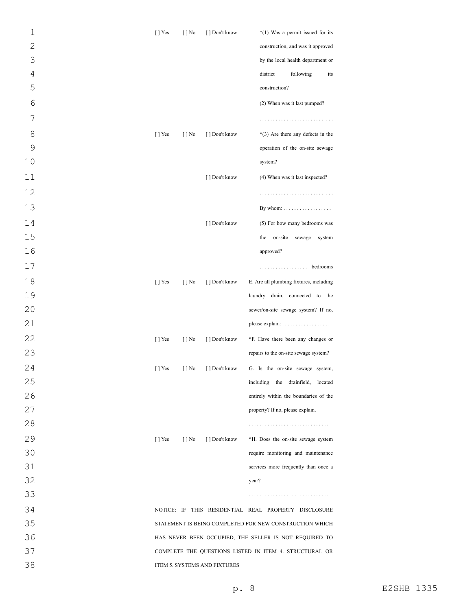| 1              | $[$ T Yes      | $[ ]$ No | [ ] Don't know               | *(1) Was a permit issued for its                        |
|----------------|----------------|----------|------------------------------|---------------------------------------------------------|
| $\overline{c}$ |                |          |                              | construction, and was it approved                       |
| 3              |                |          |                              | by the local health department or                       |
| 4              |                |          |                              | district<br>following<br>its                            |
| 5              |                |          |                              | construction?                                           |
| 6              |                |          |                              | (2) When was it last pumped?                            |
| 7              |                |          |                              |                                                         |
| 8              | $[$ T Yes      | $[ ]$ No | [] Don't know                | $*(3)$ Are there any defects in the                     |
| 9              |                |          |                              | operation of the on-site sewage                         |
| 10             |                |          |                              | system?                                                 |
| 11             |                |          | [] Don't know                | (4) When was it last inspected?                         |
| 12             |                |          |                              |                                                         |
| 13             |                |          |                              | By whom: $\dots \dots \dots \dots \dots \dots$          |
| 14             |                |          | [ ] Don't know               | (5) For how many bedrooms was                           |
| 15             |                |          |                              | the<br>on-site<br>sewage<br>system                      |
| 16             |                |          |                              | approved?                                               |
| 17             |                |          |                              | . bedrooms                                              |
| 18             | $[$ T Yes      | $[ ]$ No | [] Don't know                | E. Are all plumbing fixtures, including                 |
| 19             |                |          |                              | laundry drain, connected to the                         |
| 20             |                |          |                              | sewer/on-site sewage system? If no,                     |
| 21             |                |          |                              | please explain:                                         |
| 22             | $[$ T Yes      | $[ ]$ No | [ ] Don't know               | *F. Have there been any changes or                      |
| 23             |                |          |                              | repairs to the on-site sewage system?                   |
| 24             | [ ] Yes        | $[$ ] No | $\left[\ \right]$ Don't know | G. Is the on-site sewage system,                        |
| 25             |                |          |                              | including the drainfield, located                       |
| 26             |                |          |                              | entirely within the boundaries of the                   |
| 27             |                |          |                              | property? If no, please explain.                        |
| 28             |                |          |                              |                                                         |
| 29             | $\lceil$   Yes | $[$   No | [ ] Don't know               | *H. Does the on-site sewage system                      |
| 30             |                |          |                              | require monitoring and maintenance                      |
| 31             |                |          |                              | services more frequently than once a                    |
| 32             |                |          |                              | year?                                                   |
| 33             |                |          |                              |                                                         |
| 34             |                |          |                              | NOTICE: IF THIS RESIDENTIAL REAL PROPERTY DISCLOSURE    |
| 35             |                |          |                              | STATEMENT IS BEING COMPLETED FOR NEW CONSTRUCTION WHICH |
| 36             |                |          |                              | HAS NEVER BEEN OCCUPIED, THE SELLER IS NOT REQUIRED TO  |
| 37             |                |          |                              | COMPLETE THE QUESTIONS LISTED IN ITEM 4. STRUCTURAL OR  |
| 38             |                |          | ITEM 5. SYSTEMS AND FIXTURES |                                                         |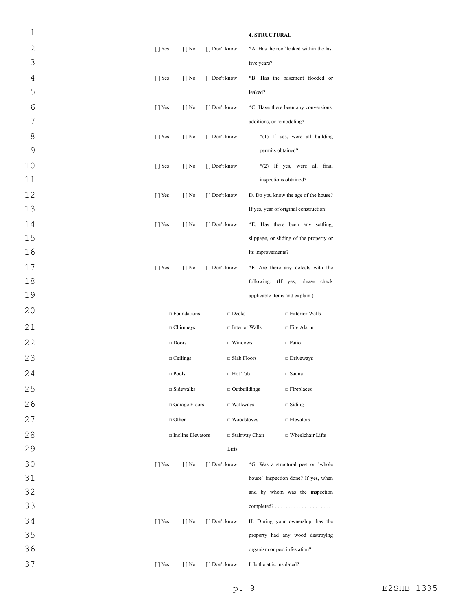| 1              |           |                          |                |                     | <b>4. STRUCTURAL</b>           |                                                        |
|----------------|-----------|--------------------------|----------------|---------------------|--------------------------------|--------------------------------------------------------|
| $\mathbf{2}$   | $[$ T Yes | $\lceil \cdot \rceil$ No | [ ] Don't know |                     |                                | *A. Has the roof leaked within the last                |
| 3              |           |                          |                |                     | five years?                    |                                                        |
| $\overline{4}$ | [] Yes    | $[ ]$ No                 | [ ] Don't know |                     |                                | *B. Has the basement flooded or                        |
| 5              |           |                          |                |                     | leaked?                        |                                                        |
| 6              | $[$ ] Yes | $[ ]$ No                 | [ ] Don't know |                     |                                | *C. Have there been any conversions,                   |
| 7              |           |                          |                |                     | additions, or remodeling?      |                                                        |
| 8              | [] Yes    | $[ ]$ No                 | [ ] Don't know |                     |                                | *(1) If yes, were all building                         |
| 9              |           |                          |                |                     | permits obtained?              |                                                        |
| 10             | [] Yes    | $[ ]$ No                 | [ ] Don't know |                     |                                | *(2) If yes, were all final                            |
| 11             |           |                          |                |                     | inspections obtained?          |                                                        |
| 12             | $[$ T Yes | $[ ]$ No                 | [ ] Don't know |                     |                                | D. Do you know the age of the house?                   |
| 13             |           |                          |                |                     |                                | If yes, year of original construction:                 |
| 14             | $[ ]$ Yes | $[ ]$ No                 | [ ] Don't know |                     |                                | *E. Has there been any settling,                       |
| 15             |           |                          |                |                     |                                | slippage, or sliding of the property or                |
| 16             |           |                          |                |                     | its improvements?              |                                                        |
| 17             | [] Yes    | $[ ]$ No                 | [ ] Don't know |                     |                                | *F. Are there any defects with the                     |
| 18             |           |                          |                |                     |                                | following: (If yes, please check                       |
| 19             |           |                          |                |                     | applicable items and explain.) |                                                        |
| 20             |           | $\Box$ Foundations       |                | $\Box$ Decks        |                                | □ Exterior Walls                                       |
| 21             |           | $\Box$ Chimneys          |                | □ Interior Walls    |                                | $\Box$ Fire Alarm                                      |
| 22             |           | $\Box$ Doors             |                | $\Box$ Windows      |                                | $\Box$ Patio                                           |
| 23             |           | $\Box$ Ceilings          |                | $\Box$ Slab Floors  |                                | $\Box$ Driveways                                       |
| 24             |           | $\Box$ Pools             |                | $\Box$ Hot Tub      |                                | $\Box$ Sauna                                           |
| 25             |           | $\Box$ Sidewalks         |                | $\Box$ Outbuildings |                                | $\Box$ Fireplaces                                      |
| 26             |           | □ Garage Floors          |                | $\Box$ Walkways     |                                | $\Box$ Siding                                          |
| 27             |           | $\Box$ Other             |                | $\Box$ Woodstoves   |                                | $\Box$ Elevators                                       |
| 28             |           | □ Incline Elevators      |                | □ Stairway Chair    |                                | □ Wheelchair Lifts                                     |
| 29             |           |                          |                | Lifts               |                                |                                                        |
| 30             | $[ ]$ Yes | $[ ]$ No                 | [ ] Don't know |                     |                                | *G. Was a structural pest or "whole                    |
| 31             |           |                          |                |                     |                                | house" inspection done? If yes, when                   |
| 32             |           |                          |                |                     |                                | and by whom was the inspection                         |
| 33             |           |                          |                |                     |                                | $completed? \ldots \ldots \ldots \ldots \ldots \ldots$ |
| 34             | $[ ]$ Yes | $[ ]$ No                 | [ ] Don't know |                     |                                | H. During your ownership, has the                      |
| 35             |           |                          |                |                     |                                | property had any wood destroying                       |
| 36             |           |                          |                |                     | organism or pest infestation?  |                                                        |
| 37             | $[$ T Yes | $[ ]$ No                 | [ ] Don't know |                     | I. Is the attic insulated?     |                                                        |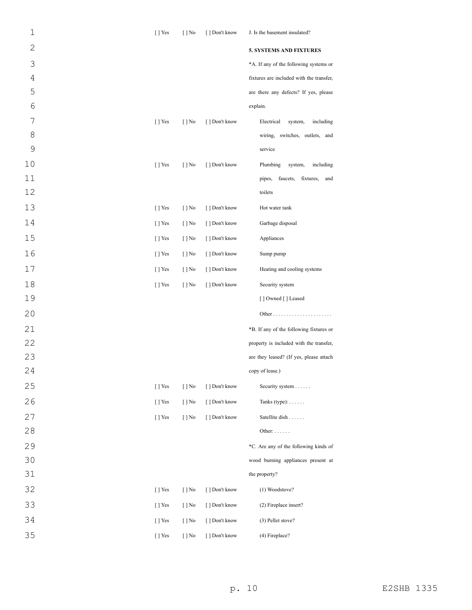| $1\,$        | $[ ]$ Yes                 | $\lceil \cdot \rceil$ No | [ ] Don't know | J. Is the basement insulated?            |
|--------------|---------------------------|--------------------------|----------------|------------------------------------------|
| $\mathbf{2}$ |                           |                          |                | <b>5. SYSTEMS AND FIXTURES</b>           |
| 3            |                           |                          |                | *A. If any of the following systems or   |
| $\sqrt{4}$   |                           |                          |                | fixtures are included with the transfer, |
| 5            |                           |                          |                | are there any defects? If yes, please    |
| 6            |                           |                          |                | explain.                                 |
| 7            | [] Yes                    | $[$ ] No                 | [ ] Don't know | Electrical<br>system,<br>including       |
| 8            |                           |                          |                | wiring, switches, outlets, and           |
| 9            |                           |                          |                | service                                  |
| 10           | $[ ]$ Yes                 | $[ ]$ No                 | [ ] Don't know | Plumbing<br>system,<br>including         |
| 11           |                           |                          |                | pipes, faucets, fixtures,<br>and         |
| 12           |                           |                          |                | toilets                                  |
| 13           | $[ ]$ Yes                 | $[ ]$ No                 | [ ] Don't know | Hot water tank                           |
| 14           | $\lceil \cdot \rceil$ Yes | $[$ ] No                 | [ ] Don't know | Garbage disposal                         |
| 15           | $[ ]$ Yes                 | $[ ]$ No                 | [ ] Don't know | Appliances                               |
| 16           | $[$ T Yes                 | $[ ]$ No                 | [ ] Don't know | Sump pump                                |
| 17           | $[$ T Yes                 | $[$ ] No                 | [ ] Don't know | Heating and cooling systems              |
| 18           | $[ ]$ Yes                 | $[ ]$ No                 | [ ] Don't know | Security system                          |
| 19           |                           |                          |                | [] Owned [] Leased                       |
| 20           |                           |                          |                |                                          |
| 21           |                           |                          |                | *B. If any of the following fixtures or  |
| 22           |                           |                          |                | property is included with the transfer,  |
| 23           |                           |                          |                | are they leased? (If yes, please attach  |
| 24           |                           |                          |                | copy of lease.)                          |
| 25           | $[ ]$ Yes                 | $[ ]$ No                 | [ ] Don't know | Security system                          |
| 26           | [ ] Yes                   | $[ ]$ No                 | [ ] Don't know | Tanks (type): $\dots$ .                  |
| 27           | [] Yes                    | $[ ]$ No                 | [] Don't know  | Satellite dish                           |
| 28           |                           |                          |                | Other: $\dots$                           |
| 29           |                           |                          |                | *C. Are any of the following kinds of    |
| 30           |                           |                          |                | wood burning appliances present at       |
| 31           |                           |                          |                | the property?                            |
| 32           | [] Yes                    | $[ ]$ No                 | [ ] Don't know | (1) Woodstove?                           |
| 33           | $[$ T Yes                 | $[$ ] No                 | [ ] Don't know | (2) Fireplace insert?                    |
| 34           | [] Yes                    | $[ ]$ No                 | [ ] Don't know | (3) Pellet stove?                        |
| 35           | [ ] Yes                   | $[ ]$ No                 | [ ] Don't know | (4) Fireplace?                           |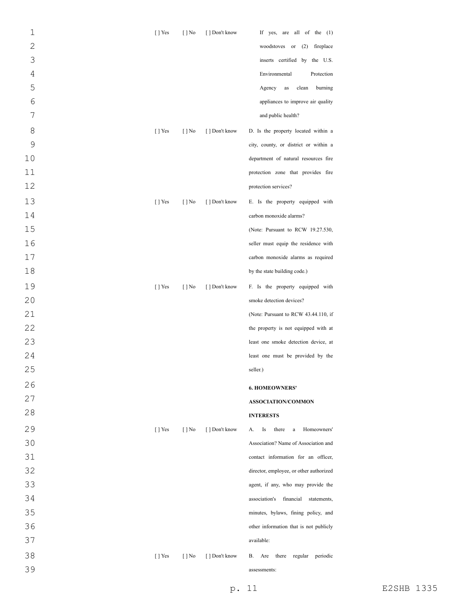| $\mathbf 1$    | $[ ]$ Yes                 | $[ ]$ No                 | [ ] Don't know | If yes, are all of the (1)                   |
|----------------|---------------------------|--------------------------|----------------|----------------------------------------------|
| $\overline{2}$ |                           |                          |                | woodstoves or (2) fireplace                  |
| 3              |                           |                          |                | inserts certified by the U.S.                |
| $\sqrt{4}$     |                           |                          |                | Environmental<br>Protection                  |
| 5              |                           |                          |                | Agency<br>clean<br>burning<br>as             |
| 6              |                           |                          |                | appliances to improve air quality            |
| 7              |                           |                          |                | and public health?                           |
| 8              | $[$ ] Yes                 | $[ ]$ No                 | [ ] Don't know | D. Is the property located within a          |
| 9              |                           |                          |                | city, county, or district or within a        |
| 10             |                           |                          |                | department of natural resources fire         |
| 11             |                           |                          |                | protection zone that provides fire           |
| 12             |                           |                          |                | protection services?                         |
| 13             | $[$ T Yes                 | $\lceil \cdot \rceil$ No | [] Don't know  | E. Is the property equipped with             |
| 14             |                           |                          |                | carbon monoxide alarms?                      |
| 15             |                           |                          |                | (Note: Pursuant to RCW 19.27.530,            |
| 16             |                           |                          |                | seller must equip the residence with         |
| 17             |                           |                          |                | carbon monoxide alarms as required           |
| 18             |                           |                          |                | by the state building code.)                 |
| 19             | $[$ T Yes                 | $[$ ] No                 | [ ] Don't know | F. Is the property equipped with             |
| 20             |                           |                          |                | smoke detection devices?                     |
| 21             |                           |                          |                | (Note: Pursuant to RCW 43.44.110, if         |
| 22             |                           |                          |                | the property is not equipped with at         |
| 23             |                           |                          |                | least one smoke detection device, at         |
| 24             |                           |                          |                | least one must be provided by the            |
| 25             |                           |                          |                | seller.)                                     |
| 26             |                           |                          |                | <b>6. HOMEOWNERS'</b>                        |
| 27             |                           |                          |                | <b>ASSOCIATION/COMMON</b>                    |
| 28             |                           |                          |                | <b>INTERESTS</b>                             |
| 29             | $\lceil \cdot \rceil$ Yes | $\lceil \cdot \rceil$ No | [ ] Don't know | Is<br>there<br>$\rm{a}$<br>Homeowners'<br>А. |
| 30             |                           |                          |                | Association? Name of Association and         |
| 31             |                           |                          |                | contact information for an officer,          |
| 32             |                           |                          |                | director, employee, or other authorized      |
| 33             |                           |                          |                | agent, if any, who may provide the           |
| 34             |                           |                          |                | association's<br>financial<br>statements,    |
| 35             |                           |                          |                | minutes, bylaws, fining policy, and          |
| 36             |                           |                          |                | other information that is not publicly       |
| 37             |                           |                          |                | available:                                   |
| 38             | $[$ ] Yes                 | $\lceil \cdot \rceil$ No | [ ] Don't know | there regular<br>periodic<br>В.<br>Are       |
| 39             |                           |                          |                | assessments:                                 |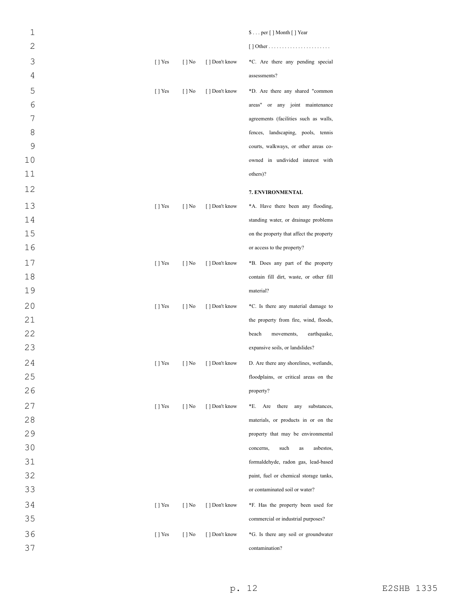| $\mathbf{1}$   |                |                          |                | \$ per [ ] Month [ ] Year                |
|----------------|----------------|--------------------------|----------------|------------------------------------------|
| $\mathbf{2}$   |                |                          |                |                                          |
| 3              | $[$ ] Yes      | $\lceil \cdot \rceil$ No | [ ] Don't know | *C. Are there any pending special        |
| $\overline{4}$ |                |                          |                | assessments?                             |
| 5              | $[$ T Yes      | $\lceil \cdot \rceil$ No | [ ] Don't know | *D. Are there any shared "common         |
| 6              |                |                          |                | areas" or any joint maintenance          |
| $\overline{7}$ |                |                          |                | agreements (facilities such as walls,    |
| 8              |                |                          |                | fences, landscaping, pools, tennis       |
| 9              |                |                          |                | courts, walkways, or other areas co-     |
| 10             |                |                          |                | owned in undivided interest with         |
| 11             |                |                          |                | others)?                                 |
| 12             |                |                          |                | 7. ENVIRONMENTAL                         |
| 13             | $\lceil$   Yes | $\lceil \cdot \rceil$ No | [ ] Don't know | *A. Have there been any flooding,        |
| 14             |                |                          |                | standing water, or drainage problems     |
| 15             |                |                          |                | on the property that affect the property |
| 16             |                |                          |                | or access to the property?               |
| 17             | $[$ T Yes      | $[ ]$ No                 | [ ] Don't know | *B. Does any part of the property        |
| $18\,$         |                |                          |                | contain fill dirt, waste, or other fill  |
| 19             |                |                          |                | material?                                |
| 20             | $[$ T Yes      | $\lceil \cdot \rceil$ No | [ ] Don't know | *C. Is there any material damage to      |
| 21             |                |                          |                | the property from fire, wind, floods,    |
| 22             |                |                          |                | beach<br>movements,<br>earthquake,       |
| 23             |                |                          |                | expansive soils, or landslides?          |
| 24             | $[$ T Yes      | $[ ]$ No                 | [ ] Don't know | D. Are there any shorelines, wetlands,   |
| 25             |                |                          |                | floodplains, or critical areas on the    |
| 26             |                |                          |                | property?                                |
| 27             | $[$ T Yes      | $[ ]$ No                 | [ ] Don't know | *E. Are there any<br>substances,         |
| 28             |                |                          |                | materials, or products in or on the      |
| 29             |                |                          |                | property that may be environmental       |
| 30             |                |                          |                | such<br>asbestos,<br>concerns,<br>as     |
| 31             |                |                          |                | formaldehyde, radon gas, lead-based      |
| 32             |                |                          |                | paint, fuel or chemical storage tanks,   |
| 33             |                |                          |                | or contaminated soil or water?           |
| 34             | $[$ T Yes      | $\lceil \cdot \rceil$ No | [ ] Don't know | *F. Has the property been used for       |
| 35             |                |                          |                | commercial or industrial purposes?       |
| 36             | $[$ T Yes      | $[ ]$ No                 | [ ] Don't know | *G. Is there any soil or groundwater     |
| 37             |                |                          |                | contamination?                           |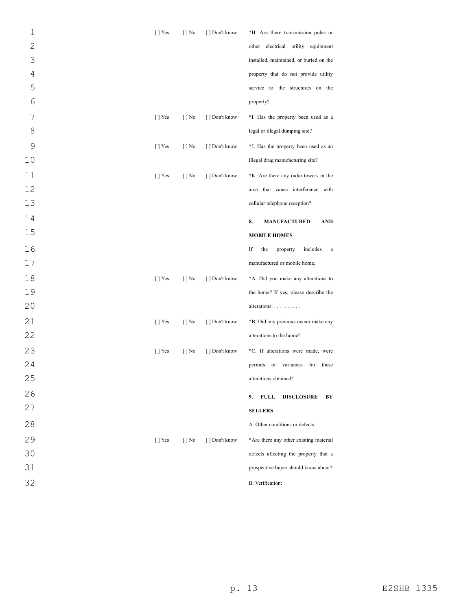| $\mathbf{1}$   | $[ ]$ Yes      | $\lceil \cdot \rceil$ No | [ ] Don't know | *H. Are there transmission poles or           |
|----------------|----------------|--------------------------|----------------|-----------------------------------------------|
| $\overline{2}$ |                |                          |                | other electrical utility equipment            |
| 3              |                |                          |                | installed, maintained, or buried on the       |
| $\overline{4}$ |                |                          |                | property that do not provide utility          |
| 5              |                |                          |                | service to the structures on the              |
| 6              |                |                          |                | property?                                     |
| 7              | $[$ T Yes      | $[ ]$ No                 | [] Don't know  | *I. Has the property been used as a           |
| 8              |                |                          |                | legal or illegal dumping site?                |
| 9              | $[$ T Yes      | $[ ]$ No                 | [] Don't know  | *J. Has the property been used as an          |
| 10             |                |                          |                | illegal drug manufacturing site?              |
| 11             | $[$ T Yes      | $[ ]$ No                 | [ ] Don't know | *K. Are there any radio towers in the         |
| 12             |                |                          |                | area that cause interference with             |
| 13             |                |                          |                | cellular telephone reception?                 |
| 14             |                |                          |                | 8.<br><b>MANUFACTURED</b><br><b>AND</b>       |
| 15             |                |                          |                | <b>MOBILE HOMES</b>                           |
| 16             |                |                          |                | If<br>the<br>property<br>includes<br>$\rm{a}$ |
| 17             |                |                          |                | manufactured or mobile home,                  |
| 18             | $[$ T Yes      | $\lceil \cdot \rceil$ No | [ ] Don't know | *A. Did you make any alterations to           |
| 19             |                |                          |                | the home? If yes, please describe the         |
| 20             |                |                          |                | alterations:                                  |
| 21             | $[$ T Yes      | $[ ]$ No                 | [ ] Don't know | *B. Did any previous owner make any           |
| 22             |                |                          |                | alterations to the home?                      |
| 23             | $\lceil$   Yes | $[ ]$ No                 | [ ] Don't know | *C. If alterations were made, were            |
| 24             |                |                          |                | variances<br>these<br>permits<br>or<br>for    |
| 25             |                |                          |                | alterations obtained?                         |
| 26             |                |                          |                | 9.<br><b>FULL</b><br><b>DISCLOSURE</b><br>BY  |
| 27             |                |                          |                | <b>SELLERS</b>                                |
| 28             |                |                          |                | A. Other conditions or defects:               |
| 29             | [] Yes         | $\lceil \cdot \rceil$ No | [ ] Don't know | *Are there any other existing material        |
| 30             |                |                          |                | defects affecting the property that a         |
| 31             |                |                          |                | prospective buyer should know about?          |
| 32             |                |                          |                | B. Verification:                              |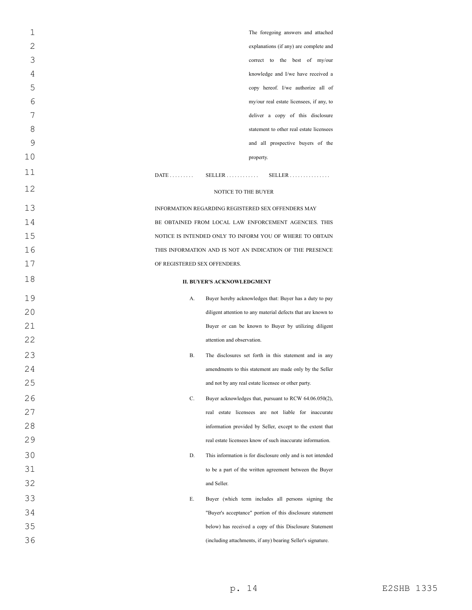| 2<br>3<br>4<br>5<br>6<br>7<br>8<br>9<br>10<br>property.<br>11<br>$DATE$<br>$SELLER$<br>12<br>NOTICE TO THE BUYER<br>13<br>INFORMATION REGARDING REGISTERED SEX OFFENDERS MAY<br>14<br>15<br>16<br>17<br>OF REGISTERED SEX OFFENDERS.<br>18<br><b>II. BUYER'S ACKNOWLEDGMENT</b><br>19<br>А.<br>20<br>21<br>22<br>attention and observation.<br>23<br><b>B.</b><br>24<br>25<br>and not by any real estate licensee or other party.<br>26<br>C.<br>27<br>28<br>29<br>30<br>D.<br>31<br>32<br>and Seller.<br>33<br>Е.<br>34<br>35<br>36 | 1 | The foregoing answers and attached                           |
|--------------------------------------------------------------------------------------------------------------------------------------------------------------------------------------------------------------------------------------------------------------------------------------------------------------------------------------------------------------------------------------------------------------------------------------------------------------------------------------------------------------------------------------|---|--------------------------------------------------------------|
|                                                                                                                                                                                                                                                                                                                                                                                                                                                                                                                                      |   | explanations (if any) are complete and                       |
|                                                                                                                                                                                                                                                                                                                                                                                                                                                                                                                                      |   | correct to the best of my/our                                |
|                                                                                                                                                                                                                                                                                                                                                                                                                                                                                                                                      |   | knowledge and I/we have received a                           |
|                                                                                                                                                                                                                                                                                                                                                                                                                                                                                                                                      |   | copy hereof. I/we authorize all of                           |
|                                                                                                                                                                                                                                                                                                                                                                                                                                                                                                                                      |   | my/our real estate licensees, if any, to                     |
|                                                                                                                                                                                                                                                                                                                                                                                                                                                                                                                                      |   | deliver a copy of this disclosure                            |
|                                                                                                                                                                                                                                                                                                                                                                                                                                                                                                                                      |   | statement to other real estate licensees                     |
|                                                                                                                                                                                                                                                                                                                                                                                                                                                                                                                                      |   | and all prospective buyers of the                            |
|                                                                                                                                                                                                                                                                                                                                                                                                                                                                                                                                      |   |                                                              |
|                                                                                                                                                                                                                                                                                                                                                                                                                                                                                                                                      |   | $SELECT R$                                                   |
|                                                                                                                                                                                                                                                                                                                                                                                                                                                                                                                                      |   |                                                              |
|                                                                                                                                                                                                                                                                                                                                                                                                                                                                                                                                      |   |                                                              |
|                                                                                                                                                                                                                                                                                                                                                                                                                                                                                                                                      |   | BE OBTAINED FROM LOCAL LAW ENFORCEMENT AGENCIES. THIS        |
|                                                                                                                                                                                                                                                                                                                                                                                                                                                                                                                                      |   | NOTICE IS INTENDED ONLY TO INFORM YOU OF WHERE TO OBTAIN     |
|                                                                                                                                                                                                                                                                                                                                                                                                                                                                                                                                      |   | THIS INFORMATION AND IS NOT AN INDICATION OF THE PRESENCE    |
|                                                                                                                                                                                                                                                                                                                                                                                                                                                                                                                                      |   |                                                              |
|                                                                                                                                                                                                                                                                                                                                                                                                                                                                                                                                      |   |                                                              |
|                                                                                                                                                                                                                                                                                                                                                                                                                                                                                                                                      |   | Buyer hereby acknowledges that: Buyer has a duty to pay      |
|                                                                                                                                                                                                                                                                                                                                                                                                                                                                                                                                      |   | diligent attention to any material defects that are known to |
|                                                                                                                                                                                                                                                                                                                                                                                                                                                                                                                                      |   | Buyer or can be known to Buyer by utilizing diligent         |
|                                                                                                                                                                                                                                                                                                                                                                                                                                                                                                                                      |   |                                                              |
|                                                                                                                                                                                                                                                                                                                                                                                                                                                                                                                                      |   | The disclosures set forth in this statement and in any       |
|                                                                                                                                                                                                                                                                                                                                                                                                                                                                                                                                      |   | amendments to this statement are made only by the Seller     |
|                                                                                                                                                                                                                                                                                                                                                                                                                                                                                                                                      |   |                                                              |
|                                                                                                                                                                                                                                                                                                                                                                                                                                                                                                                                      |   | Buyer acknowledges that, pursuant to RCW 64.06.050(2),       |
|                                                                                                                                                                                                                                                                                                                                                                                                                                                                                                                                      |   | real estate licensees are not liable for inaccurate          |
|                                                                                                                                                                                                                                                                                                                                                                                                                                                                                                                                      |   | information provided by Seller, except to the extent that    |
|                                                                                                                                                                                                                                                                                                                                                                                                                                                                                                                                      |   | real estate licensees know of such inaccurate information.   |
|                                                                                                                                                                                                                                                                                                                                                                                                                                                                                                                                      |   | This information is for disclosure only and is not intended  |
|                                                                                                                                                                                                                                                                                                                                                                                                                                                                                                                                      |   | to be a part of the written agreement between the Buyer      |
|                                                                                                                                                                                                                                                                                                                                                                                                                                                                                                                                      |   |                                                              |
|                                                                                                                                                                                                                                                                                                                                                                                                                                                                                                                                      |   | Buyer (which term includes all persons signing the           |
|                                                                                                                                                                                                                                                                                                                                                                                                                                                                                                                                      |   | "Buyer's acceptance" portion of this disclosure statement    |
|                                                                                                                                                                                                                                                                                                                                                                                                                                                                                                                                      |   | below) has received a copy of this Disclosure Statement      |
|                                                                                                                                                                                                                                                                                                                                                                                                                                                                                                                                      |   | (including attachments, if any) bearing Seller's signature.  |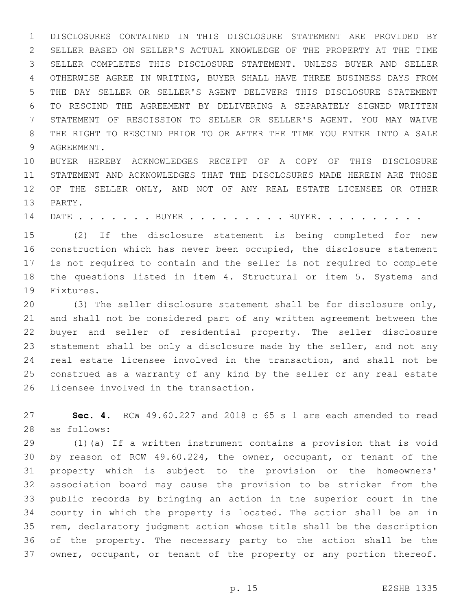DISCLOSURES CONTAINED IN THIS DISCLOSURE STATEMENT ARE PROVIDED BY SELLER BASED ON SELLER'S ACTUAL KNOWLEDGE OF THE PROPERTY AT THE TIME SELLER COMPLETES THIS DISCLOSURE STATEMENT. UNLESS BUYER AND SELLER OTHERWISE AGREE IN WRITING, BUYER SHALL HAVE THREE BUSINESS DAYS FROM THE DAY SELLER OR SELLER'S AGENT DELIVERS THIS DISCLOSURE STATEMENT TO RESCIND THE AGREEMENT BY DELIVERING A SEPARATELY SIGNED WRITTEN STATEMENT OF RESCISSION TO SELLER OR SELLER'S AGENT. YOU MAY WAIVE THE RIGHT TO RESCIND PRIOR TO OR AFTER THE TIME YOU ENTER INTO A SALE 9 AGREEMENT.

 BUYER HEREBY ACKNOWLEDGES RECEIPT OF A COPY OF THIS DISCLOSURE STATEMENT AND ACKNOWLEDGES THAT THE DISCLOSURES MADE HEREIN ARE THOSE OF THE SELLER ONLY, AND NOT OF ANY REAL ESTATE LICENSEE OR OTHER 13 PARTY.

14 DATE . . . . . . BUYER . . . . . . . . BUYER. . . . . . . . . .

 (2) If the disclosure statement is being completed for new construction which has never been occupied, the disclosure statement is not required to contain and the seller is not required to complete 18 the questions listed in item 4. Structural or item 5. Systems and 19 Fixtures.

 (3) The seller disclosure statement shall be for disclosure only, and shall not be considered part of any written agreement between the buyer and seller of residential property. The seller disclosure 23 statement shall be only a disclosure made by the seller, and not any real estate licensee involved in the transaction, and shall not be construed as a warranty of any kind by the seller or any real estate 26 licensee involved in the transaction.

 **Sec. 4.** RCW 49.60.227 and 2018 c 65 s 1 are each amended to read as follows:28

 (1)(a) If a written instrument contains a provision that is void by reason of RCW 49.60.224, the owner, occupant, or tenant of the property which is subject to the provision or the homeowners' association board may cause the provision to be stricken from the public records by bringing an action in the superior court in the county in which the property is located. The action shall be an in rem, declaratory judgment action whose title shall be the description of the property. The necessary party to the action shall be the owner, occupant, or tenant of the property or any portion thereof.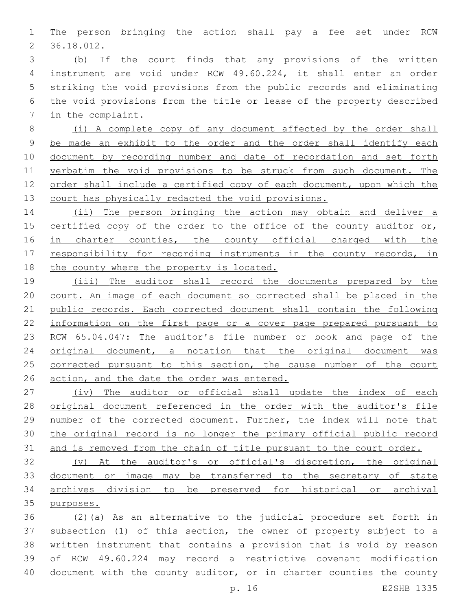The person bringing the action shall pay a fee set under RCW 36.18.012.2

 (b) If the court finds that any provisions of the written instrument are void under RCW 49.60.224, it shall enter an order striking the void provisions from the public records and eliminating the void provisions from the title or lease of the property described 7 in the complaint.

 (i) A complete copy of any document affected by the order shall be made an exhibit to the order and the order shall identify each 10 document by recording number and date of recordation and set forth 11 verbatim the void provisions to be struck from such document. The order shall include a certified copy of each document, upon which the court has physically redacted the void provisions.

14 (ii) The person bringing the action may obtain and deliver a 15 certified copy of the order to the office of the county auditor or, 16 in charter counties, the county official charged with the 17 responsibility for recording instruments in the county records, in 18 the county where the property is located.

 (iii) The auditor shall record the documents prepared by the court. An image of each document so corrected shall be placed in the public records. Each corrected document shall contain the following information on the first page or a cover page prepared pursuant to 23 RCW 65.04.047: The auditor's file number or book and page of the original document, a notation that the original document was 25 corrected pursuant to this section, the cause number of the court 26 action, and the date the order was entered.

 (iv) The auditor or official shall update the index of each original document referenced in the order with the auditor's file number of the corrected document. Further, the index will note that the original record is no longer the primary official public record 31 and is removed from the chain of title pursuant to the court order.

 (v) At the auditor's or official's discretion, the original document or image may be transferred to the secretary of state archives division to be preserved for historical or archival purposes.

 (2)(a) As an alternative to the judicial procedure set forth in subsection (1) of this section, the owner of property subject to a written instrument that contains a provision that is void by reason of RCW 49.60.224 may record a restrictive covenant modification 40 document with the county auditor, or in charter counties the county

p. 16 E2SHB 1335